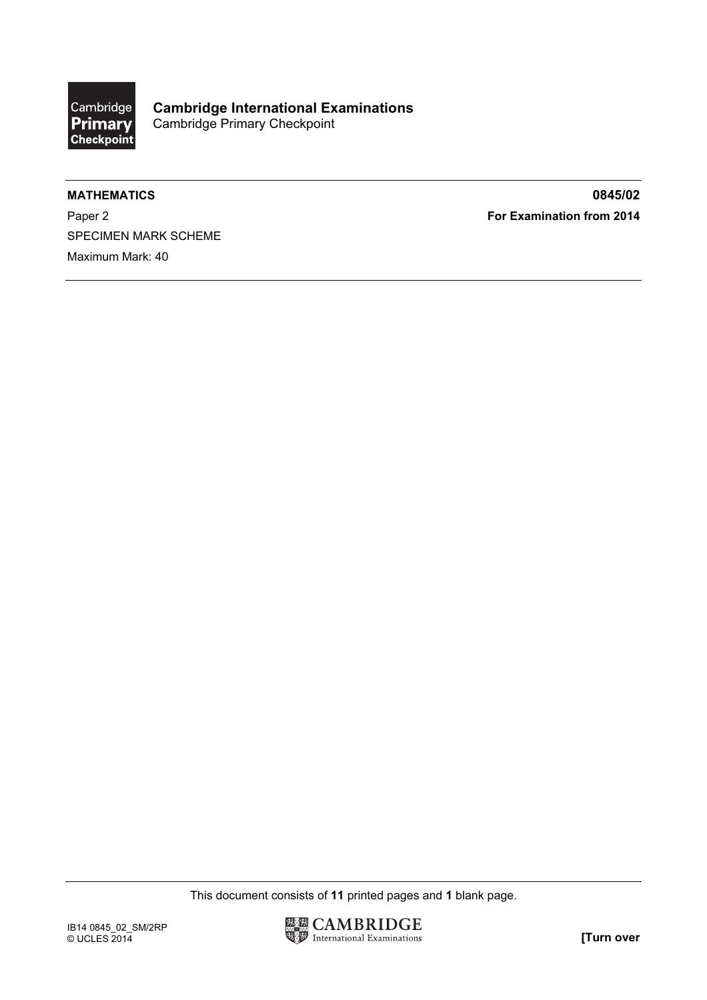

Paper 2 **For Examination from 2014** SPECIMEN MARK SCHEME Maximum Mark: 40

MATHEMATICS 0845/02

This document consists of 11 printed pages and 1 blank page.

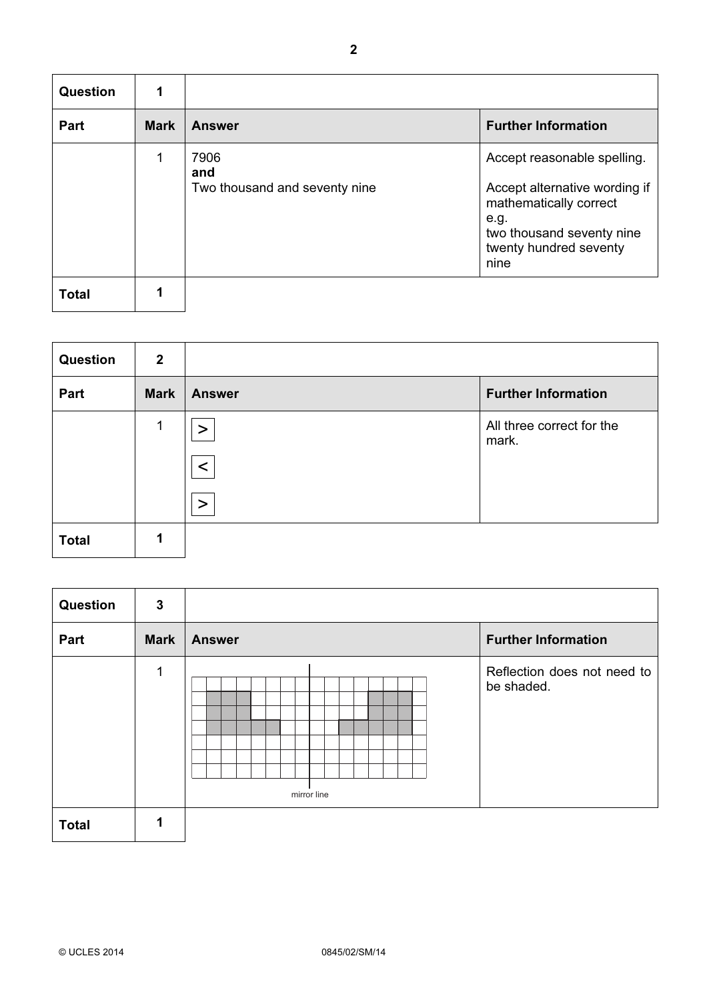| <b>Question</b> | 1           |                               |                                                                                                                                |
|-----------------|-------------|-------------------------------|--------------------------------------------------------------------------------------------------------------------------------|
| Part            | <b>Mark</b> | <b>Answer</b>                 | <b>Further Information</b>                                                                                                     |
|                 | 1           | 7906<br>and                   | Accept reasonable spelling.                                                                                                    |
|                 |             | Two thousand and seventy nine | Accept alternative wording if<br>mathematically correct<br>e.g.<br>two thousand seventy nine<br>twenty hundred seventy<br>nine |
| <b>Total</b>    |             |                               |                                                                                                                                |

| <b>Question</b> | $\overline{2}$ |               |                                    |
|-----------------|----------------|---------------|------------------------------------|
| Part            | <b>Mark</b>    | <b>Answer</b> | <b>Further Information</b>         |
|                 | 1              |               | All three correct for the<br>mark. |
|                 |                |               |                                    |
|                 |                | $\geq$        |                                    |
| <b>Total</b>    |                |               |                                    |

| Question     | $\mathbf{3}$ |               |                                           |
|--------------|--------------|---------------|-------------------------------------------|
| Part         | <b>Mark</b>  | <b>Answer</b> | <b>Further Information</b>                |
|              | 1            | mirror line   | Reflection does not need to<br>be shaded. |
| <b>Total</b> |              |               |                                           |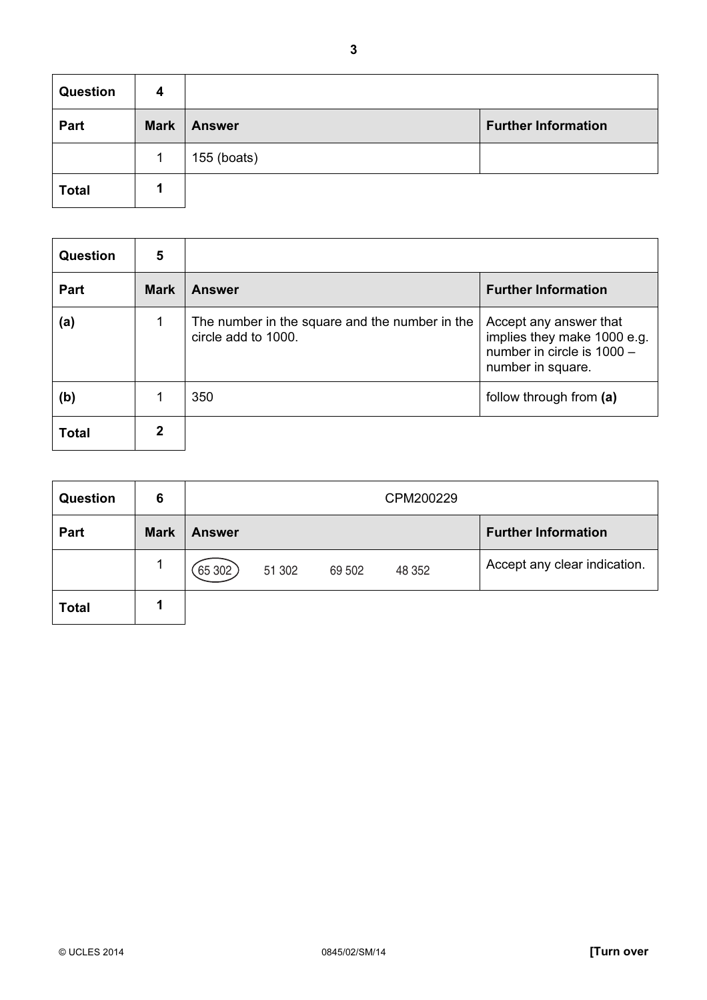| <b>Question</b> | 4           |               |                            |
|-----------------|-------------|---------------|----------------------------|
| Part            | <b>Mark</b> | <b>Answer</b> | <b>Further Information</b> |
|                 |             | 155 (boats)   |                            |
| <b>Total</b>    |             |               |                            |

| <b>Question</b> | 5           |                                                                       |                                                                                                          |
|-----------------|-------------|-----------------------------------------------------------------------|----------------------------------------------------------------------------------------------------------|
| <b>Part</b>     | <b>Mark</b> | <b>Answer</b>                                                         | <b>Further Information</b>                                                                               |
| (a)             | 1           | The number in the square and the number in the<br>circle add to 1000. | Accept any answer that<br>implies they make 1000 e.g.<br>number in circle is 1000 -<br>number in square. |
| (b)             |             | 350                                                                   | follow through from (a)                                                                                  |
| <b>Total</b>    | 2           |                                                                       |                                                                                                          |

| <b>Question</b> | 6           |               |        |        | CPM200229 |                              |
|-----------------|-------------|---------------|--------|--------|-----------|------------------------------|
| Part            | <b>Mark</b> | <b>Answer</b> |        |        |           | <b>Further Information</b>   |
|                 |             | [65302]       | 51 302 | 69 502 | 48 352    | Accept any clear indication. |
| <b>Total</b>    |             |               |        |        |           |                              |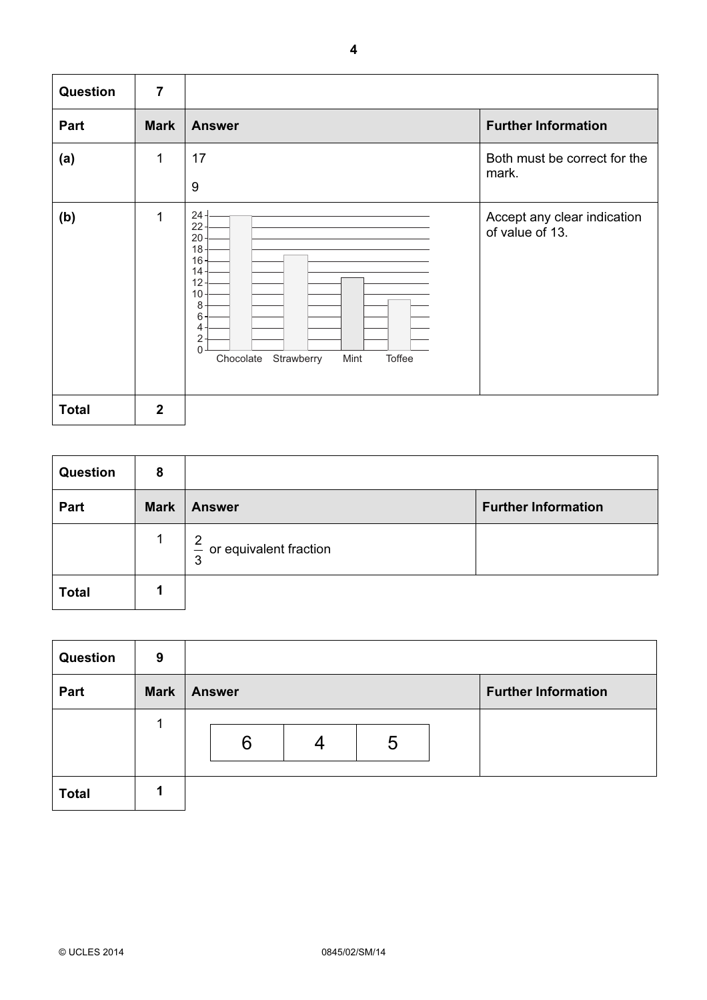| Question     | $\overline{7}$ |                                                                                                                                                                                     |                                                |
|--------------|----------------|-------------------------------------------------------------------------------------------------------------------------------------------------------------------------------------|------------------------------------------------|
| Part         | <b>Mark</b>    | <b>Answer</b>                                                                                                                                                                       | <b>Further Information</b>                     |
| (a)          | 1              | 17<br>9                                                                                                                                                                             | Both must be correct for the<br>mark.          |
| (b)          | 1              | $24 -$<br>$22 -$<br>$20 -$<br>$18 -$<br>$16 -$<br>$14 -$<br>$12 -$<br>$10 -$<br>8<br>6<br>$4 -$<br>$\sqrt{2}$<br>$\overline{0}$<br>Chocolate<br>Strawberry<br>Mint<br><b>Toffee</b> | Accept any clear indication<br>of value of 13. |
| <b>Total</b> | $\overline{2}$ |                                                                                                                                                                                     |                                                |

| <b>Question</b> | 8           |                                      |                            |
|-----------------|-------------|--------------------------------------|----------------------------|
| Part            | <b>Mark</b> | <b>Answer</b>                        | <b>Further Information</b> |
|                 | 1           | $\frac{2}{3}$ or equivalent fraction |                            |
| <b>Total</b>    |             |                                      |                            |

| Question     | 9           |               |   |                            |
|--------------|-------------|---------------|---|----------------------------|
| Part         | <b>Mark</b> | <b>Answer</b> |   | <b>Further Information</b> |
|              |             |               |   |                            |
|              |             | 6             | 5 |                            |
|              |             |               |   |                            |
| <b>Total</b> |             |               |   |                            |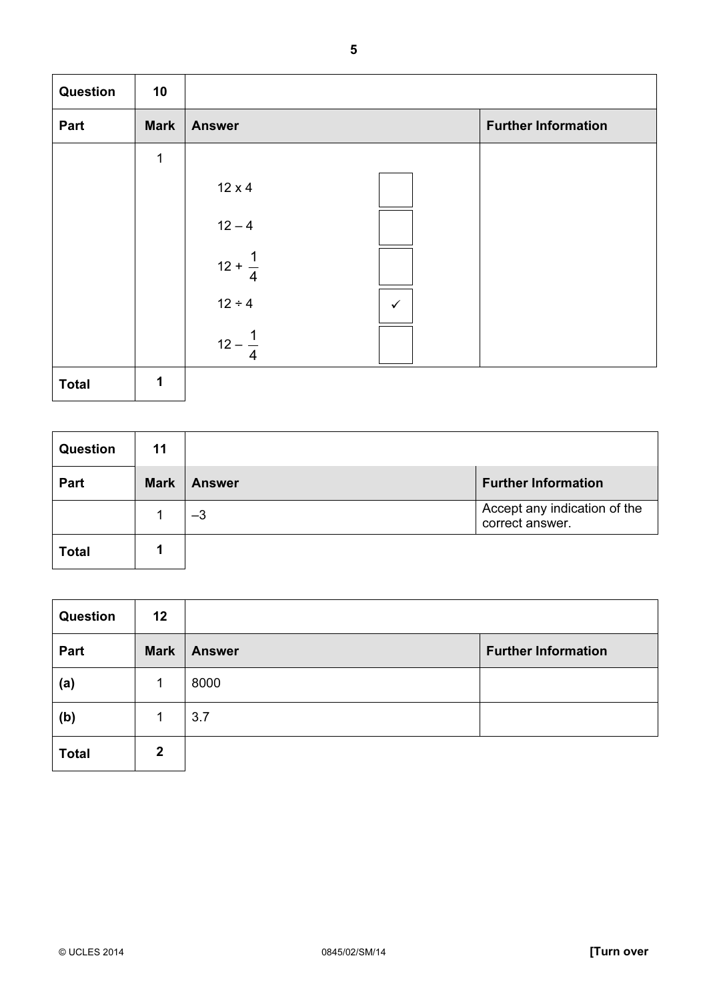| <b>Question</b> | 10          |                             |                            |
|-----------------|-------------|-----------------------------|----------------------------|
| Part            | <b>Mark</b> | <b>Answer</b>               | <b>Further Information</b> |
|                 | 1           |                             |                            |
|                 |             | $12 \times 4$               |                            |
|                 |             | $12 - 4$                    |                            |
|                 |             | $12 + \frac{1}{4}$          |                            |
|                 |             | $12 \div 4$<br>$\checkmark$ |                            |
|                 |             | $12 -$                      |                            |
| <b>Total</b>    | 1           |                             |                            |

| <b>Question</b> | 11          |               |                                                 |
|-----------------|-------------|---------------|-------------------------------------------------|
| Part            | <b>Mark</b> | <b>Answer</b> | <b>Further Information</b>                      |
|                 |             | $-3$          | Accept any indication of the<br>correct answer. |
| <b>Total</b>    |             |               |                                                 |

| <b>Question</b> | 12           |               |                            |
|-----------------|--------------|---------------|----------------------------|
| Part            | <b>Mark</b>  | <b>Answer</b> | <b>Further Information</b> |
| (a)             |              | 8000          |                            |
| (b)             |              | 3.7           |                            |
| <b>Total</b>    | $\mathbf{2}$ |               |                            |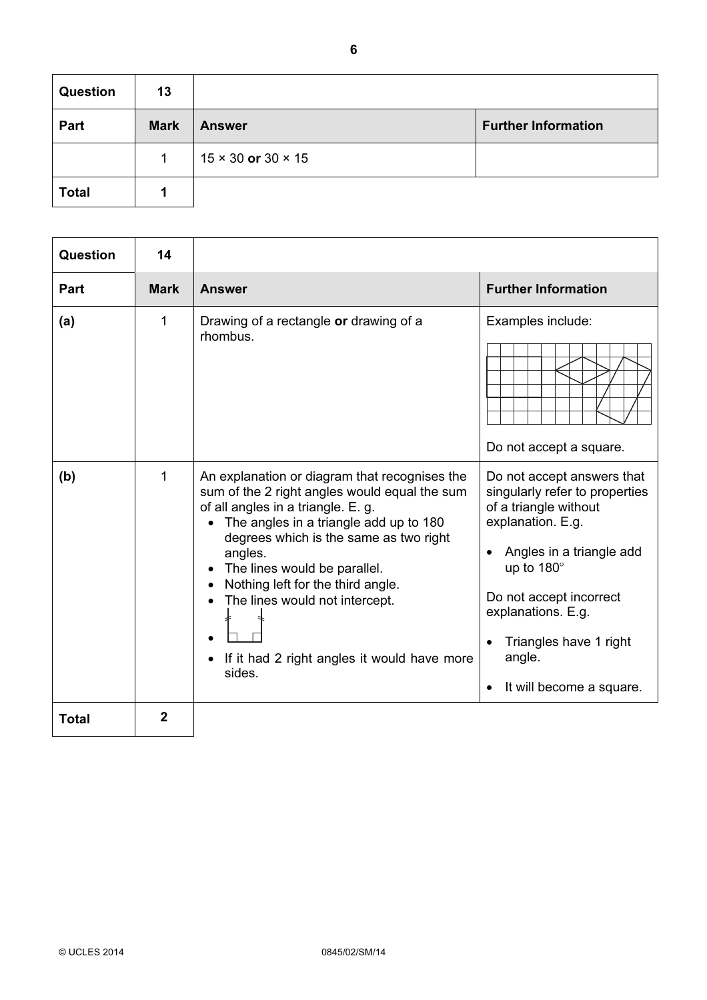| <b>Question</b> | 13          |                                  |                            |
|-----------------|-------------|----------------------------------|----------------------------|
| Part            | <b>Mark</b> | <b>Answer</b>                    | <b>Further Information</b> |
|                 | 1           | $15 \times 30$ or $30 \times 15$ |                            |
| <b>Total</b>    |             |                                  |                            |

| Question     | 14          |                                                                                                                                                                                                                                                                                                                                                                                                     |                                                                                                                                                                                                                                                                       |
|--------------|-------------|-----------------------------------------------------------------------------------------------------------------------------------------------------------------------------------------------------------------------------------------------------------------------------------------------------------------------------------------------------------------------------------------------------|-----------------------------------------------------------------------------------------------------------------------------------------------------------------------------------------------------------------------------------------------------------------------|
| Part         | <b>Mark</b> | <b>Answer</b>                                                                                                                                                                                                                                                                                                                                                                                       | <b>Further Information</b>                                                                                                                                                                                                                                            |
| (a)          | 1           | Drawing of a rectangle or drawing of a<br>rhombus.                                                                                                                                                                                                                                                                                                                                                  | Examples include:<br>Do not accept a square.                                                                                                                                                                                                                          |
| (b)          | 1           | An explanation or diagram that recognises the<br>sum of the 2 right angles would equal the sum<br>of all angles in a triangle. E. g.<br>The angles in a triangle add up to 180<br>degrees which is the same as two right<br>angles.<br>The lines would be parallel.<br>Nothing left for the third angle.<br>The lines would not intercept.<br>If it had 2 right angles it would have more<br>sides. | Do not accept answers that<br>singularly refer to properties<br>of a triangle without<br>explanation. E.g.<br>Angles in a triangle add<br>up to 180°<br>Do not accept incorrect<br>explanations. E.g.<br>Triangles have 1 right<br>angle.<br>It will become a square. |
| <b>Total</b> | 2           |                                                                                                                                                                                                                                                                                                                                                                                                     |                                                                                                                                                                                                                                                                       |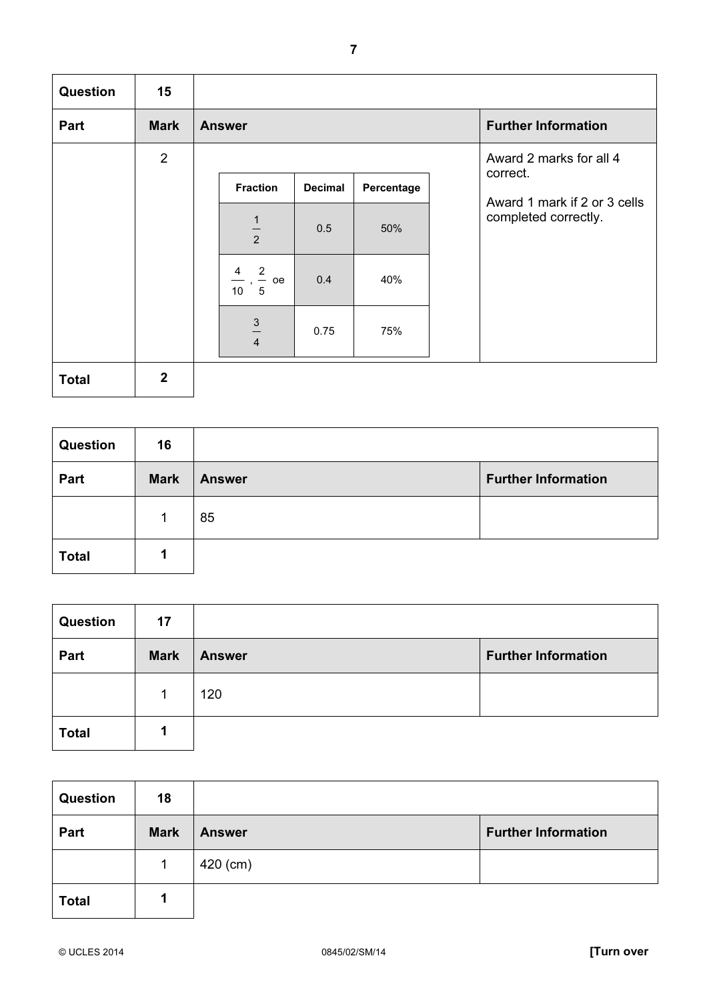| Question     | 15             |                                           |                |            |                                     |
|--------------|----------------|-------------------------------------------|----------------|------------|-------------------------------------|
| Part         | <b>Mark</b>    | <b>Answer</b>                             |                |            | <b>Further Information</b>          |
|              | $\overline{2}$ |                                           |                |            | Award 2 marks for all 4<br>correct. |
|              |                | <b>Fraction</b>                           | <b>Decimal</b> | Percentage | Award 1 mark if 2 or 3 cells        |
|              |                | $\frac{1}{2}$                             | 0.5            | 50%        | completed correctly.                |
|              |                | $\frac{2}{5}$ oe<br>4<br>$\frac{1}{10}$ , | 0.4            | 40%        |                                     |
|              |                | $\frac{3}{1}$<br>$\overline{4}$           | 0.75           | 75%        |                                     |
| <b>Total</b> | $\overline{2}$ |                                           |                |            |                                     |

| Question     | 16          |               |                            |
|--------------|-------------|---------------|----------------------------|
| Part         | <b>Mark</b> | <b>Answer</b> | <b>Further Information</b> |
|              |             | 85            |                            |
| <b>Total</b> |             |               |                            |

| Question     | 17          |               |                            |
|--------------|-------------|---------------|----------------------------|
| Part         | <b>Mark</b> | <b>Answer</b> | <b>Further Information</b> |
|              |             | 120           |                            |
| <b>Total</b> |             |               |                            |

| <b>Question</b> | 18          |               |                            |
|-----------------|-------------|---------------|----------------------------|
| Part            | <b>Mark</b> | <b>Answer</b> | <b>Further Information</b> |
|                 |             | 420 (cm)      |                            |
| <b>Total</b>    |             |               |                            |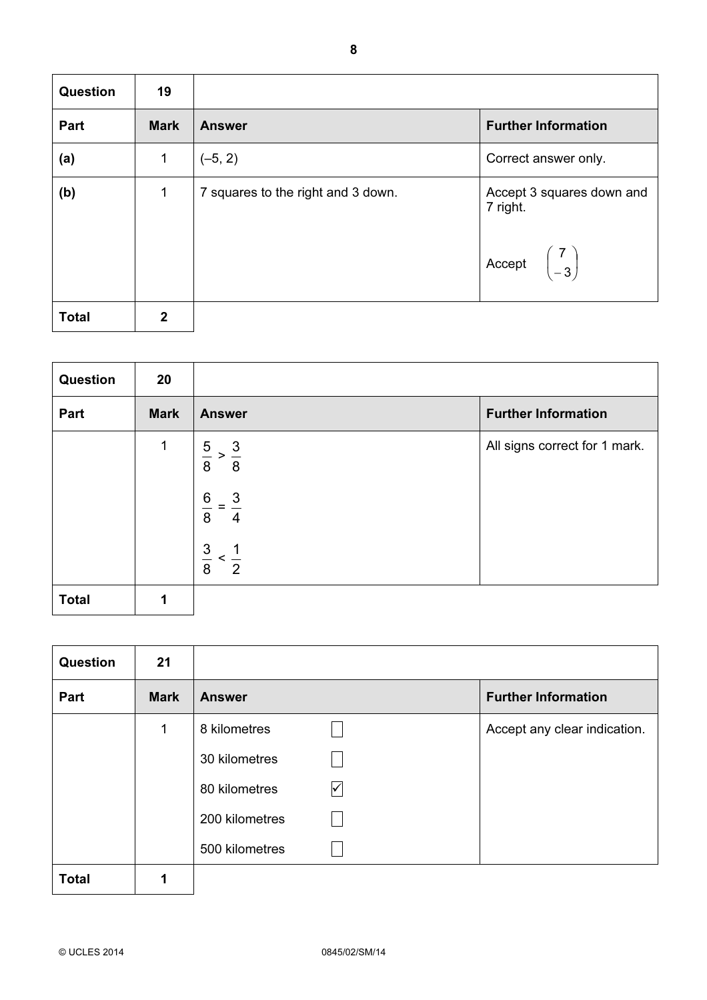| <b>Question</b> | 19           |                                    |                                                                                         |
|-----------------|--------------|------------------------------------|-----------------------------------------------------------------------------------------|
| Part            | <b>Mark</b>  | <b>Answer</b>                      | <b>Further Information</b>                                                              |
| (a)             | 1            | $(-5, 2)$                          | Correct answer only.                                                                    |
| (b)             | 1            | 7 squares to the right and 3 down. | Accept 3 squares down and<br>7 right.<br>Accept $\begin{pmatrix} 7 \\ -3 \end{pmatrix}$ |
| <b>Total</b>    | $\mathbf{2}$ |                                    |                                                                                         |

| <b>Question</b> | 20          |                                                |                               |
|-----------------|-------------|------------------------------------------------|-------------------------------|
| Part            | <b>Mark</b> | <b>Answer</b>                                  | <b>Further Information</b>    |
|                 | 1           | $\frac{5}{8} > \frac{3}{8}$                    | All signs correct for 1 mark. |
|                 |             | $\,6$<br>$\overline{3}$<br>8<br>$\overline{4}$ |                               |
|                 |             | $\frac{3}{8} < \frac{1}{2}$                    |                               |
| <b>Total</b>    | 1           |                                                |                               |

| <b>Question</b> | 21          |                |                      |                              |
|-----------------|-------------|----------------|----------------------|------------------------------|
| Part            | <b>Mark</b> | <b>Answer</b>  |                      | <b>Further Information</b>   |
|                 | 1           | 8 kilometres   |                      | Accept any clear indication. |
|                 |             | 30 kilometres  |                      |                              |
|                 |             | 80 kilometres  | $\blacktriangledown$ |                              |
|                 |             | 200 kilometres |                      |                              |
|                 |             | 500 kilometres |                      |                              |
| <b>Total</b>    |             |                |                      |                              |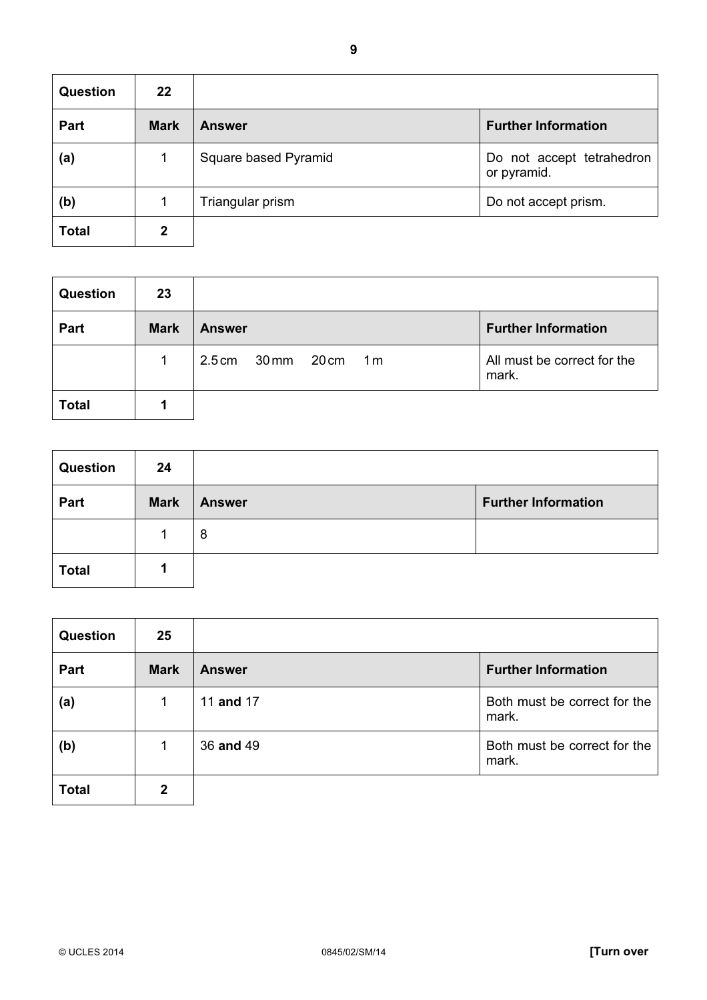| <b>Question</b> | 22          |                      |                                          |
|-----------------|-------------|----------------------|------------------------------------------|
| Part            | <b>Mark</b> | <b>Answer</b>        | <b>Further Information</b>               |
| (a)             |             | Square based Pyramid | Do not accept tetrahedron<br>or pyramid. |
| (b)             |             | Triangular prism     | Do not accept prism.                     |
| <b>Total</b>    | 2           |                      |                                          |

| <b>Question</b> | 23          |                                   |                                      |
|-----------------|-------------|-----------------------------------|--------------------------------------|
| Part            | <b>Mark</b> | <b>Answer</b>                     | <b>Further Information</b>           |
|                 |             | 2.5cm 30mm 20cm<br>1 <sub>m</sub> | All must be correct for the<br>mark. |
| <b>Total</b>    |             |                                   |                                      |

| <b>Question</b> | 24          |               |                            |
|-----------------|-------------|---------------|----------------------------|
| Part            | <b>Mark</b> | <b>Answer</b> | <b>Further Information</b> |
|                 |             | 8             |                            |
| <b>Total</b>    |             |               |                            |

| <b>Question</b> | 25          |               |                                       |
|-----------------|-------------|---------------|---------------------------------------|
| Part            | <b>Mark</b> | <b>Answer</b> | <b>Further Information</b>            |
| (a)             | 1           | 11 and 17     | Both must be correct for the<br>mark. |
| (b)             | 1           | 36 and 49     | Both must be correct for the<br>mark. |
| <b>Total</b>    | 2           |               |                                       |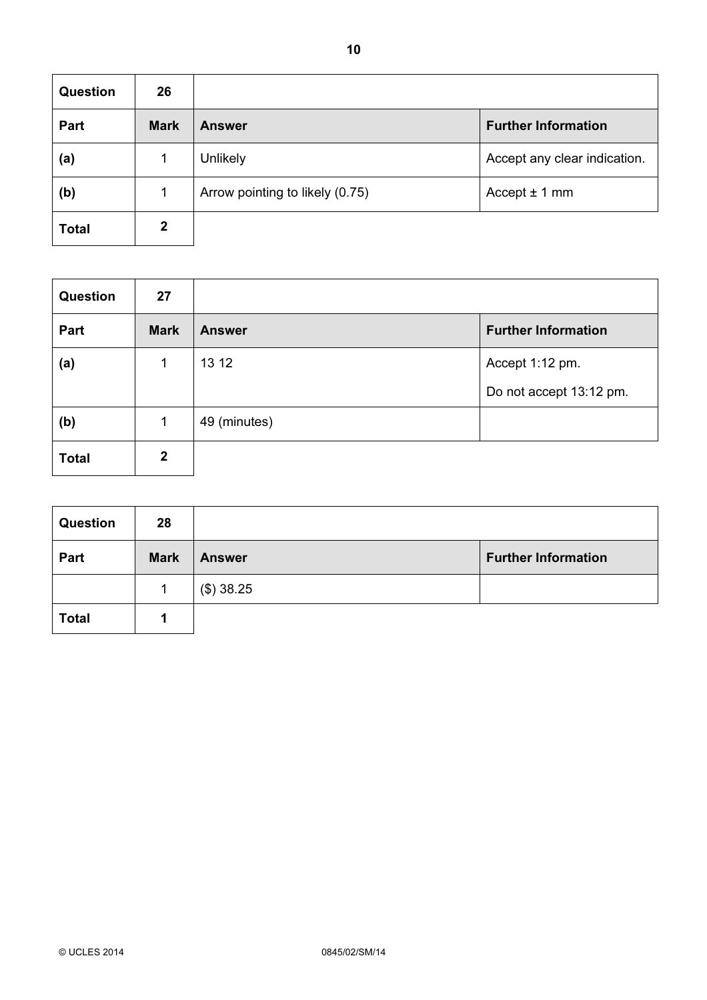| <b>Question</b> | 26          |                                 |                              |
|-----------------|-------------|---------------------------------|------------------------------|
| Part            | <b>Mark</b> | <b>Answer</b>                   | <b>Further Information</b>   |
| (a)             |             | <b>Unlikely</b>                 | Accept any clear indication. |
| (b)             |             | Arrow pointing to likely (0.75) | Accept $± 1$ mm              |
| <b>Total</b>    | 2           |                                 |                              |

| <b>Question</b> | 27           |               |                            |
|-----------------|--------------|---------------|----------------------------|
| Part            | <b>Mark</b>  | <b>Answer</b> | <b>Further Information</b> |
| (a)             | $\mathbf 1$  | 13 12         | Accept 1:12 pm.            |
|                 |              |               | Do not accept 13:12 pm.    |
| (b)             | 1            | 49 (minutes)  |                            |
| <b>Total</b>    | $\mathbf{2}$ |               |                            |

| <b>Question</b> | 28          |               |                            |
|-----------------|-------------|---------------|----------------------------|
| Part            | <b>Mark</b> | <b>Answer</b> | <b>Further Information</b> |
|                 |             | (\$) 38.25    |                            |
| <b>Total</b>    |             |               |                            |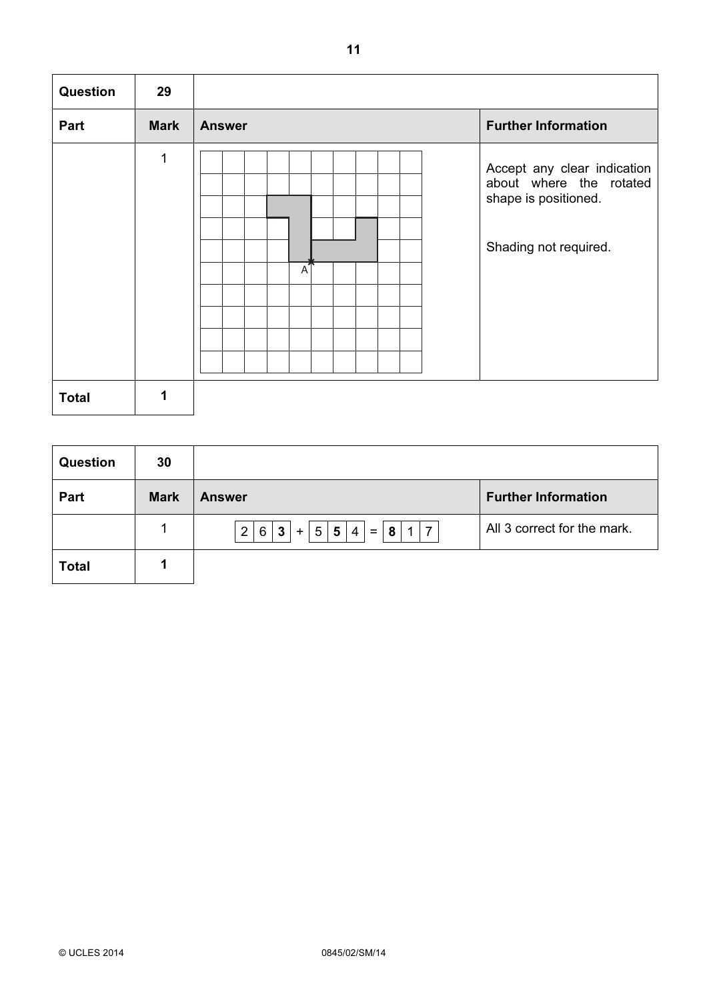| Question     | 29          |                |                                                                                                         |
|--------------|-------------|----------------|---------------------------------------------------------------------------------------------------------|
| Part         | <b>Mark</b> | <b>Answer</b>  | <b>Further Information</b>                                                                              |
|              | 1           | $\overline{A}$ | Accept any clear indication<br>about where the rotated<br>shape is positioned.<br>Shading not required. |
| <b>Total</b> | 1           |                |                                                                                                         |

| Question     | 30          |                                                                                                               |                             |
|--------------|-------------|---------------------------------------------------------------------------------------------------------------|-----------------------------|
| Part         | <b>Mark</b> | <b>Answer</b>                                                                                                 | <b>Further Information</b>  |
|              |             | 8 <br>5 <sup>1</sup><br>2 6<br>$1 \mid 7$<br>$\overline{4}$<br>3 <sup>1</sup><br>5 <sub>1</sub><br>$=$<br>$+$ | All 3 correct for the mark. |
| <b>Total</b> |             |                                                                                                               |                             |